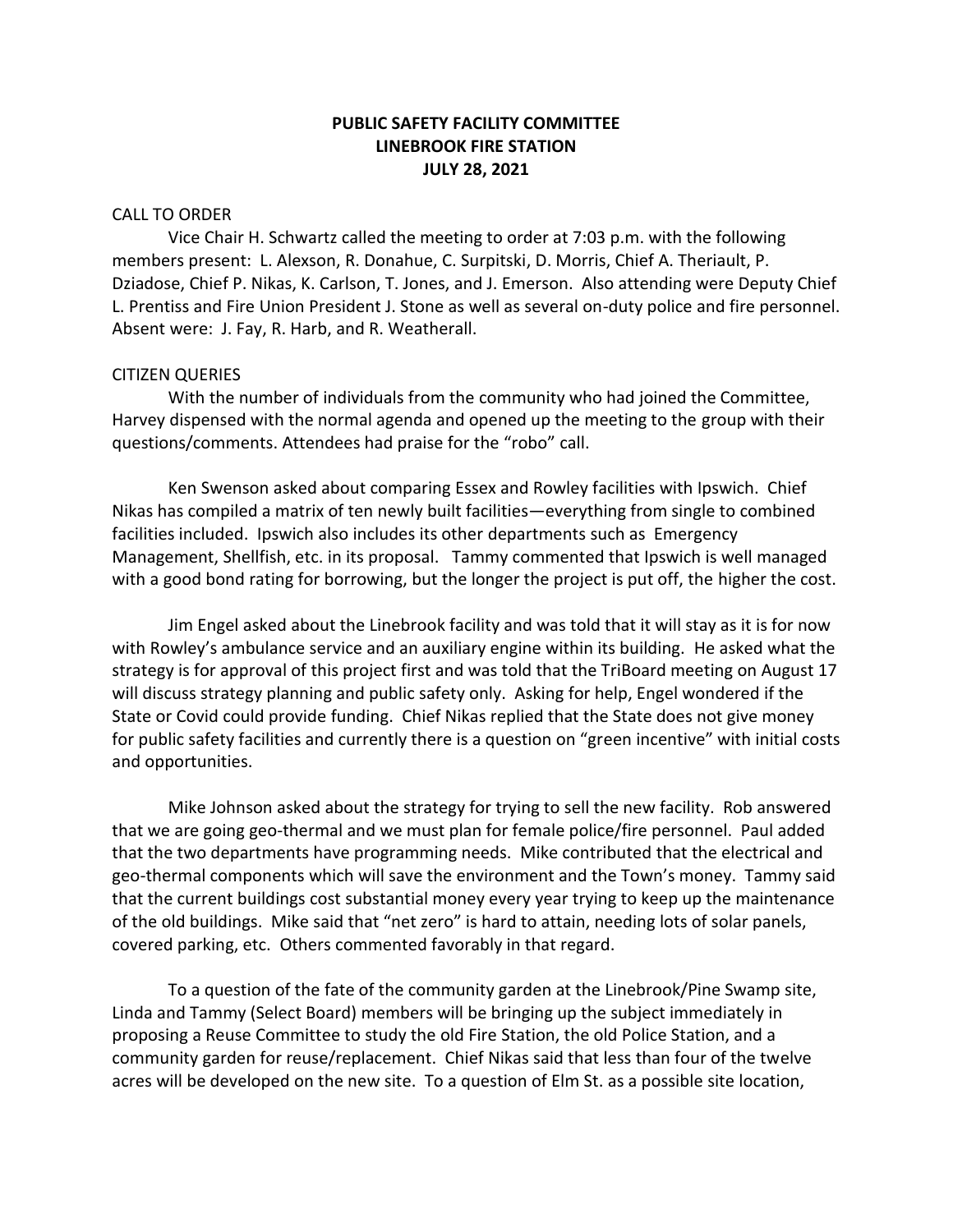# **PUBLIC SAFETY FACILITY COMMITTEE LINEBROOK FIRE STATION JULY 28, 2021**

#### CALL TO ORDER

Vice Chair H. Schwartz called the meeting to order at 7:03 p.m. with the following members present: L. Alexson, R. Donahue, C. Surpitski, D. Morris, Chief A. Theriault, P. Dziadose, Chief P. Nikas, K. Carlson, T. Jones, and J. Emerson. Also attending were Deputy Chief L. Prentiss and Fire Union President J. Stone as well as several on-duty police and fire personnel. Absent were: J. Fay, R. Harb, and R. Weatherall.

#### CITIZEN QUERIES

With the number of individuals from the community who had joined the Committee, Harvey dispensed with the normal agenda and opened up the meeting to the group with their questions/comments. Attendees had praise for the "robo" call.

Ken Swenson asked about comparing Essex and Rowley facilities with Ipswich. Chief Nikas has compiled a matrix of ten newly built facilities—everything from single to combined facilities included. Ipswich also includes its other departments such as Emergency Management, Shellfish, etc. in its proposal. Tammy commented that Ipswich is well managed with a good bond rating for borrowing, but the longer the project is put off, the higher the cost.

Jim Engel asked about the Linebrook facility and was told that it will stay as it is for now with Rowley's ambulance service and an auxiliary engine within its building. He asked what the strategy is for approval of this project first and was told that the TriBoard meeting on August 17 will discuss strategy planning and public safety only. Asking for help, Engel wondered if the State or Covid could provide funding. Chief Nikas replied that the State does not give money for public safety facilities and currently there is a question on "green incentive" with initial costs and opportunities.

Mike Johnson asked about the strategy for trying to sell the new facility. Rob answered that we are going geo-thermal and we must plan for female police/fire personnel. Paul added that the two departments have programming needs. Mike contributed that the electrical and geo-thermal components which will save the environment and the Town's money. Tammy said that the current buildings cost substantial money every year trying to keep up the maintenance of the old buildings. Mike said that "net zero" is hard to attain, needing lots of solar panels, covered parking, etc. Others commented favorably in that regard.

To a question of the fate of the community garden at the Linebrook/Pine Swamp site, Linda and Tammy (Select Board) members will be bringing up the subject immediately in proposing a Reuse Committee to study the old Fire Station, the old Police Station, and a community garden for reuse/replacement. Chief Nikas said that less than four of the twelve acres will be developed on the new site. To a question of Elm St. as a possible site location,